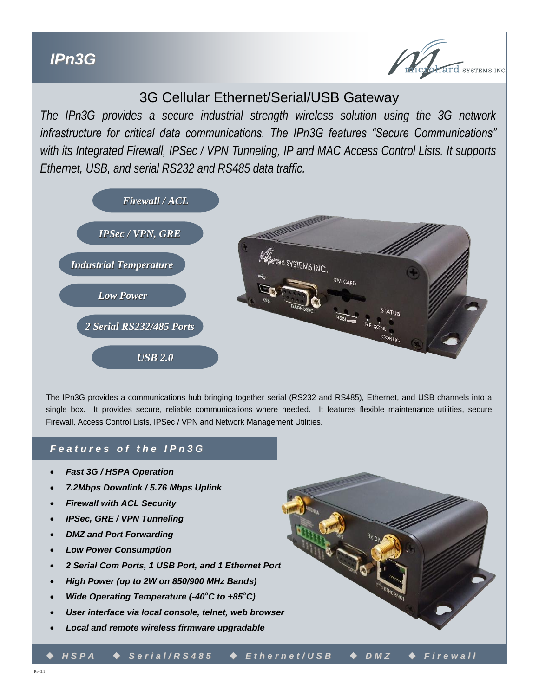

## 3G Cellular Ethernet/Serial/USB Gateway

*The IPn3G provides a secure industrial strength wireless solution using the 3G network infrastructure for critical data communications. The IPn3G features "Secure Communications" with its Integrated Firewall, IPSec / VPN Tunneling, IP and MAC Access Control Lists. It supports Ethernet, USB, and serial RS232 and RS485 data traffic.* 



The IPn3G provides a communications hub bringing together serial (RS232 and RS485), Ethernet, and USB channels into a single box. It provides secure, reliable communications where needed. It features flexible maintenance utilities, secure Firewall, Access Control Lists, IPSec / VPN and Network Management Utilities.

### *F e a t u r e s o f t h e I P n 3 G*

- *Fast 3G / HSPA Operation*
- *7.2Mbps Downlink / 5.76 Mbps Uplink*
- *Firewall with ACL Security*
- *IPSec, GRE / VPN Tunneling*
- *DMZ and Port Forwarding*
- *Low Power Consumption*
- *2 Serial Com Ports, 1 USB Port, and 1 Ethernet Port*
- *High Power (up to 2W on 850/900 MHz Bands)*
- *Wide Operating Temperature (-40<sup>°</sup>C to +85<sup>°</sup>C)*
- *User interface via local console, telnet, web browser*
- *Local and remote wireless firmware upgradable*

*H S P A S e r i a l / R S 4 8 5 E t h e r n e t / U S B D M Z F i r e w a l l*